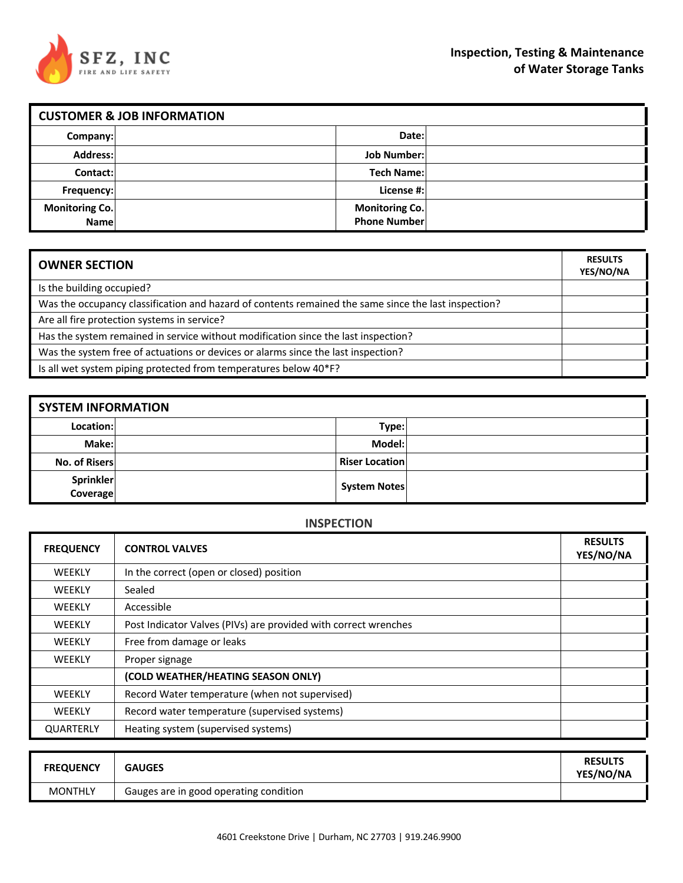

|                               | <b>CUSTOMER &amp; JOB INFORMATION</b> |                                              |  |  |  |
|-------------------------------|---------------------------------------|----------------------------------------------|--|--|--|
| Company:                      |                                       | Date:                                        |  |  |  |
| Address:                      |                                       | <b>Job Number:</b>                           |  |  |  |
| Contact:                      |                                       | <b>Tech Name:</b>                            |  |  |  |
| Frequency:                    |                                       | License #:                                   |  |  |  |
| <b>Monitoring Co.</b><br>Name |                                       | <b>Monitoring Co.</b><br><b>Phone Number</b> |  |  |  |

| <b>OWNER SECTION</b>                                                                                 | <b>RESULTS</b><br>YES/NO/NA |
|------------------------------------------------------------------------------------------------------|-----------------------------|
| Is the building occupied?                                                                            |                             |
| Was the occupancy classification and hazard of contents remained the same since the last inspection? |                             |
| Are all fire protection systems in service?                                                          |                             |
| Has the system remained in service without modification since the last inspection?                   |                             |
| Was the system free of actuations or devices or alarms since the last inspection?                    |                             |
| Is all wet system piping protected from temperatures below 40*F?                                     |                             |

| <b>SYSTEM INFORMATION</b> |  |                       |  |  |
|---------------------------|--|-----------------------|--|--|
| Location:                 |  | Type:                 |  |  |
| Make:l                    |  | Model:                |  |  |
| No. of Risers             |  | <b>Riser Location</b> |  |  |
| Sprinkler<br>Coverage     |  | <b>System Notes</b>   |  |  |

#### **INSPECTION**

| <b>FREQUENCY</b> | <b>CONTROL VALVES</b>                                           | <b>RESULTS</b><br>YES/NO/NA |
|------------------|-----------------------------------------------------------------|-----------------------------|
| <b>WEEKLY</b>    | In the correct (open or closed) position                        |                             |
| <b>WEEKLY</b>    | Sealed                                                          |                             |
| WEEKLY           | Accessible                                                      |                             |
| <b>WEEKLY</b>    | Post Indicator Valves (PIVs) are provided with correct wrenches |                             |
| <b>WEEKLY</b>    | Free from damage or leaks                                       |                             |
| <b>WEEKLY</b>    | Proper signage                                                  |                             |
|                  | (COLD WEATHER/HEATING SEASON ONLY)                              |                             |
| <b>WEEKLY</b>    | Record Water temperature (when not supervised)                  |                             |
| <b>WEEKLY</b>    | Record water temperature (supervised systems)                   |                             |
| QUARTERLY        | Heating system (supervised systems)                             |                             |

| <b>FREQUENCY</b> | <b>GAUGES</b>                          | <b>RESULTS</b><br>YES/NO/NA |
|------------------|----------------------------------------|-----------------------------|
| <b>MONTHLY</b>   | Gauges are in good operating condition |                             |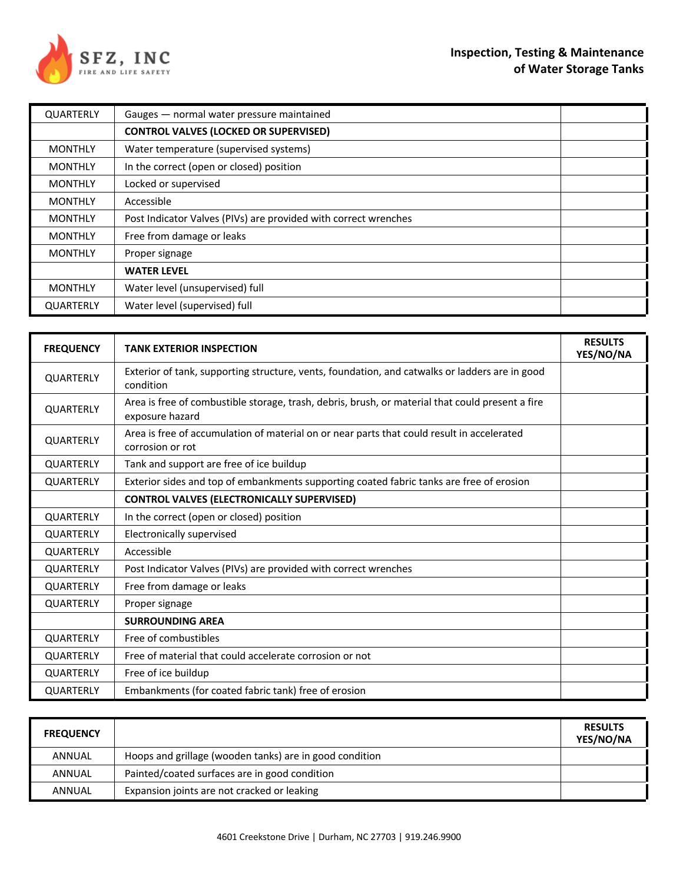

| QUARTERLY      | Gauges - normal water pressure maintained                       |  |
|----------------|-----------------------------------------------------------------|--|
|                | <b>CONTROL VALVES (LOCKED OR SUPERVISED)</b>                    |  |
| <b>MONTHLY</b> | Water temperature (supervised systems)                          |  |
| <b>MONTHLY</b> | In the correct (open or closed) position                        |  |
| <b>MONTHLY</b> | Locked or supervised                                            |  |
| <b>MONTHLY</b> | Accessible                                                      |  |
| <b>MONTHLY</b> | Post Indicator Valves (PIVs) are provided with correct wrenches |  |
| <b>MONTHLY</b> | Free from damage or leaks                                       |  |
| <b>MONTHLY</b> | Proper signage                                                  |  |
|                | <b>WATER LEVEL</b>                                              |  |
| <b>MONTHLY</b> | Water level (unsupervised) full                                 |  |
| QUARTERLY      | Water level (supervised) full                                   |  |

| <b>FREQUENCY</b> | <b>TANK EXTERIOR INSPECTION</b>                                                                                     | <b>RESULTS</b><br>YES/NO/NA |
|------------------|---------------------------------------------------------------------------------------------------------------------|-----------------------------|
| QUARTERLY        | Exterior of tank, supporting structure, vents, foundation, and catwalks or ladders are in good<br>condition         |                             |
| <b>QUARTERLY</b> | Area is free of combustible storage, trash, debris, brush, or material that could present a fire<br>exposure hazard |                             |
| <b>QUARTERLY</b> | Area is free of accumulation of material on or near parts that could result in accelerated<br>corrosion or rot      |                             |
| <b>QUARTERLY</b> | Tank and support are free of ice buildup                                                                            |                             |
| <b>QUARTERLY</b> | Exterior sides and top of embankments supporting coated fabric tanks are free of erosion                            |                             |
|                  | <b>CONTROL VALVES (ELECTRONICALLY SUPERVISED)</b>                                                                   |                             |
| <b>QUARTERLY</b> | In the correct (open or closed) position                                                                            |                             |
| <b>QUARTERLY</b> | Electronically supervised                                                                                           |                             |
| <b>QUARTERLY</b> | Accessible                                                                                                          |                             |
| <b>QUARTERLY</b> | Post Indicator Valves (PIVs) are provided with correct wrenches                                                     |                             |
| <b>QUARTERLY</b> | Free from damage or leaks                                                                                           |                             |
| <b>QUARTERLY</b> | Proper signage                                                                                                      |                             |
|                  | <b>SURROUNDING AREA</b>                                                                                             |                             |
| <b>QUARTERLY</b> | Free of combustibles                                                                                                |                             |
| QUARTERLY        | Free of material that could accelerate corrosion or not                                                             |                             |
| QUARTERLY        | Free of ice buildup                                                                                                 |                             |
| <b>QUARTERLY</b> | Embankments (for coated fabric tank) free of erosion                                                                |                             |

| <b>FREQUENCY</b> |                                                         | <b>RESULTS</b><br>YES/NO/NA |
|------------------|---------------------------------------------------------|-----------------------------|
| ANNUAL           | Hoops and grillage (wooden tanks) are in good condition |                             |
| ANNUAL           | Painted/coated surfaces are in good condition           |                             |
| ANNUAL           | Expansion joints are not cracked or leaking             |                             |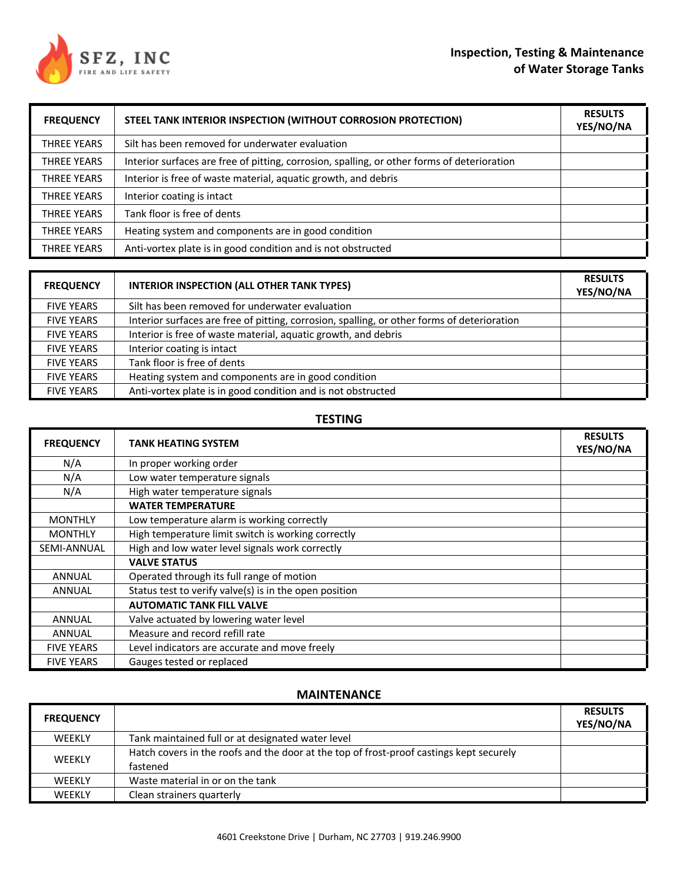# **Inspection, Testing & Maintenance of Water Storage Tanks**



| <b>FREQUENCY</b>   | STEEL TANK INTERIOR INSPECTION (WITHOUT CORROSION PROTECTION)                               | <b>RESULTS</b><br>YES/NO/NA |
|--------------------|---------------------------------------------------------------------------------------------|-----------------------------|
| <b>THREE YEARS</b> | Silt has been removed for underwater evaluation                                             |                             |
| <b>THREE YEARS</b> | Interior surfaces are free of pitting, corrosion, spalling, or other forms of deterioration |                             |
| <b>THREE YEARS</b> | Interior is free of waste material, aquatic growth, and debris                              |                             |
| <b>THREE YEARS</b> | Interior coating is intact                                                                  |                             |
| <b>THREE YEARS</b> | Tank floor is free of dents                                                                 |                             |
| <b>THREE YEARS</b> | Heating system and components are in good condition                                         |                             |
| <b>THREE YEARS</b> | Anti-vortex plate is in good condition and is not obstructed                                |                             |

| <b>FREQUENCY</b>  | <b>INTERIOR INSPECTION (ALL OTHER TANK TYPES)</b>                                           | <b>RESULTS</b><br>YES/NO/NA |
|-------------------|---------------------------------------------------------------------------------------------|-----------------------------|
| <b>FIVE YEARS</b> | Silt has been removed for underwater evaluation                                             |                             |
| <b>FIVE YEARS</b> | Interior surfaces are free of pitting, corrosion, spalling, or other forms of deterioration |                             |
| <b>FIVE YEARS</b> | Interior is free of waste material, aquatic growth, and debris                              |                             |
| <b>FIVE YEARS</b> | Interior coating is intact                                                                  |                             |
| <b>FIVE YEARS</b> | Tank floor is free of dents                                                                 |                             |
| <b>FIVE YEARS</b> | Heating system and components are in good condition                                         |                             |
| <b>FIVE YEARS</b> | Anti-vortex plate is in good condition and is not obstructed                                |                             |

#### **TESTING**

| <b>FREQUENCY</b>   | <b>TANK HEATING SYSTEM</b>                             | <b>RESULTS</b><br>YES/NO/NA |
|--------------------|--------------------------------------------------------|-----------------------------|
| N/A                | In proper working order                                |                             |
| N/A                | Low water temperature signals                          |                             |
| N/A                | High water temperature signals                         |                             |
|                    | <b>WATER TEMPERATURE</b>                               |                             |
| <b>MONTHLY</b>     | Low temperature alarm is working correctly             |                             |
| <b>MONTHLY</b>     | High temperature limit switch is working correctly     |                             |
| <b>SEMI-ANNUAL</b> | High and low water level signals work correctly        |                             |
|                    | <b>VALVE STATUS</b>                                    |                             |
| <b>ANNUAL</b>      | Operated through its full range of motion              |                             |
| ANNUAL             | Status test to verify valve(s) is in the open position |                             |
|                    | <b>AUTOMATIC TANK FILL VALVE</b>                       |                             |
| <b>ANNUAL</b>      | Valve actuated by lowering water level                 |                             |
| ANNUAL             | Measure and record refill rate                         |                             |
| <b>FIVE YEARS</b>  | Level indicators are accurate and move freely          |                             |
| <b>FIVE YEARS</b>  | Gauges tested or replaced                              |                             |

## **MAINTENANCE**

| <b>FREQUENCY</b> |                                                                                                     | <b>RESULTS</b><br>YES/NO/NA |
|------------------|-----------------------------------------------------------------------------------------------------|-----------------------------|
| WEEKLY           | Tank maintained full or at designated water level                                                   |                             |
| WEEKLY           | Hatch covers in the roofs and the door at the top of frost-proof castings kept securely<br>fastened |                             |
| WEEKLY           | Waste material in or on the tank                                                                    |                             |
| WEEKLY           | Clean strainers quarterly                                                                           |                             |